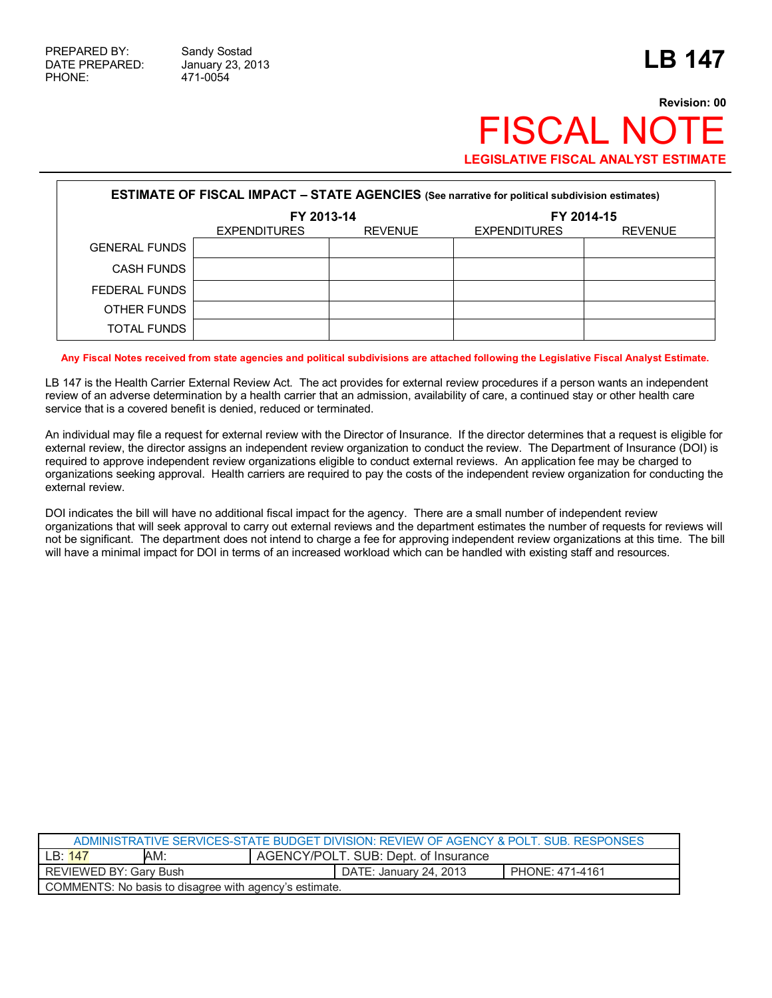## **Revision: 00 FISCAL NOT LEGISLATIVE FISCAL ANALYST ESTIMATE**

| <b>ESTIMATE OF FISCAL IMPACT - STATE AGENCIES</b> (See narrative for political subdivision estimates) |                     |                |                     |                |  |
|-------------------------------------------------------------------------------------------------------|---------------------|----------------|---------------------|----------------|--|
|                                                                                                       | FY 2013-14          |                | FY 2014-15          |                |  |
|                                                                                                       | <b>EXPENDITURES</b> | <b>REVENUE</b> | <b>EXPENDITURES</b> | <b>REVENUE</b> |  |
| <b>GENERAL FUNDS</b>                                                                                  |                     |                |                     |                |  |
| <b>CASH FUNDS</b>                                                                                     |                     |                |                     |                |  |
| FEDERAL FUNDS                                                                                         |                     |                |                     |                |  |
| OTHER FUNDS                                                                                           |                     |                |                     |                |  |
| <b>TOTAL FUNDS</b>                                                                                    |                     |                |                     |                |  |

**Any Fiscal Notes received from state agencies and political subdivisions are attached following the Legislative Fiscal Analyst Estimate.** 

LB 147 is the Health Carrier External Review Act. The act provides for external review procedures if a person wants an independent review of an adverse determination by a health carrier that an admission, availability of care, a continued stay or other health care service that is a covered benefit is denied, reduced or terminated.

An individual may file a request for external review with the Director of Insurance. If the director determines that a request is eligible for external review, the director assigns an independent review organization to conduct the review. The Department of Insurance (DOI) is required to approve independent review organizations eligible to conduct external reviews. An application fee may be charged to organizations seeking approval. Health carriers are required to pay the costs of the independent review organization for conducting the external review.

DOI indicates the bill will have no additional fiscal impact for the agency. There are a small number of independent review organizations that will seek approval to carry out external reviews and the department estimates the number of requests for reviews will not be significant. The department does not intend to charge a fee for approving independent review organizations at this time. The bill will have a minimal impact for DOI in terms of an increased workload which can be handled with existing staff and resources.

| ADMINISTRATIVE SERVICES-STATE BUDGET DIVISION: REVIEW OF AGENCY & POLT SUB RESPONSES |                                      |                        |                 |  |
|--------------------------------------------------------------------------------------|--------------------------------------|------------------------|-----------------|--|
| AM:<br>LB: 147                                                                       | AGENCY/POLT. SUB: Dept. of Insurance |                        |                 |  |
| <b>REVIEWED BY: Gary Bush</b>                                                        |                                      | DATE: January 24, 2013 | PHONE: 471-4161 |  |
| COMMENTS: No basis to disagree with agency's estimate.                               |                                      |                        |                 |  |